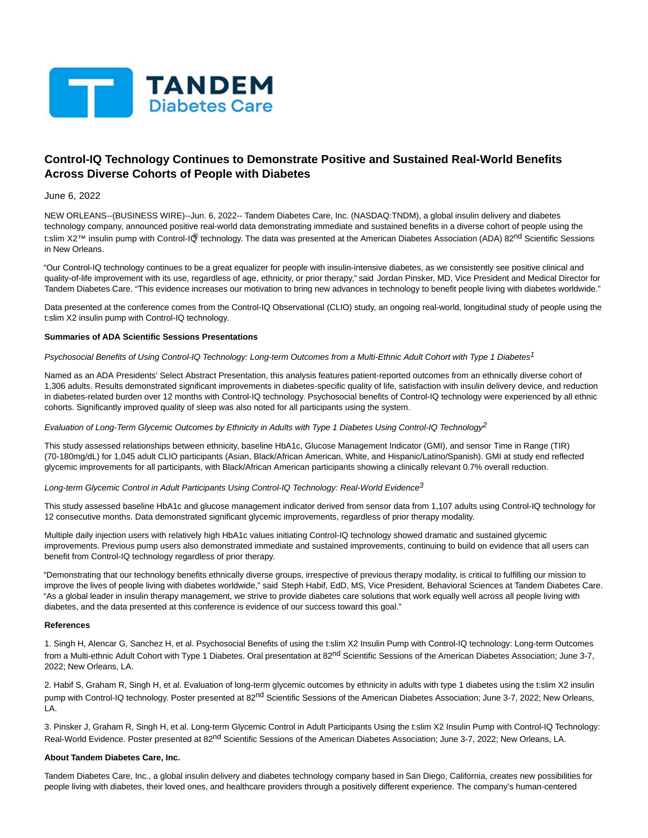

# **Control-IQ Technology Continues to Demonstrate Positive and Sustained Real-World Benefits Across Diverse Cohorts of People with Diabetes**

June 6, 2022

NEW ORLEANS--(BUSINESS WIRE)--Jun. 6, 2022-- Tandem Diabetes Care, Inc. (NASDAQ:TNDM), a global insulin delivery and diabetes technology company, announced positive real-world data demonstrating immediate and sustained benefits in a diverse cohort of people using the t:slim X2™ insulin pump with Control-IQ® technology. The data was presented at the American Diabetes Association (ADA) 82<sup>nd</sup> Scientific Sessions in New Orleans.

"Our Control-IQ technology continues to be a great equalizer for people with insulin-intensive diabetes, as we consistently see positive clinical and quality-of-life improvement with its use, regardless of age, ethnicity, or prior therapy," said Jordan Pinsker, MD, Vice President and Medical Director for Tandem Diabetes Care. "This evidence increases our motivation to bring new advances in technology to benefit people living with diabetes worldwide."

Data presented at the conference comes from the Control-IQ Observational (CLIO) study, an ongoing real-world, longitudinal study of people using the t:slim X2 insulin pump with Control-IQ technology.

#### **Summaries of ADA Scientific Sessions Presentations**

Psychosocial Benefits of Using Control-IQ Technology: Long-term Outcomes from a Multi-Ethnic Adult Cohort with Type 1 Diabetes<sup>1</sup>

Named as an ADA Presidents' Select Abstract Presentation, this analysis features patient-reported outcomes from an ethnically diverse cohort of 1,306 adults. Results demonstrated significant improvements in diabetes-specific quality of life, satisfaction with insulin delivery device, and reduction in diabetes-related burden over 12 months with Control-IQ technology. Psychosocial benefits of Control-IQ technology were experienced by all ethnic cohorts. Significantly improved quality of sleep was also noted for all participants using the system.

Evaluation of Long-Term Glycemic Outcomes by Ethnicity in Adults with Type 1 Diabetes Using Control-IQ Technology<sup>2</sup>

This study assessed relationships between ethnicity, baseline HbA1c, Glucose Management Indicator (GMI), and sensor Time in Range (TIR) (70-180mg/dL) for 1,045 adult CLIO participants (Asian, Black/African American, White, and Hispanic/Latino/Spanish). GMI at study end reflected glycemic improvements for all participants, with Black/African American participants showing a clinically relevant 0.7% overall reduction.

Long-term Glycemic Control in Adult Participants Using Control-IQ Technology: Real-World Evidence<sup>3</sup>

This study assessed baseline HbA1c and glucose management indicator derived from sensor data from 1,107 adults using Control-IQ technology for 12 consecutive months. Data demonstrated significant glycemic improvements, regardless of prior therapy modality.

Multiple daily injection users with relatively high HbA1c values initiating Control-IQ technology showed dramatic and sustained glycemic improvements. Previous pump users also demonstrated immediate and sustained improvements, continuing to build on evidence that all users can benefit from Control-IQ technology regardless of prior therapy.

"Demonstrating that our technology benefits ethnically diverse groups, irrespective of previous therapy modality, is critical to fulfilling our mission to improve the lives of people living with diabetes worldwide," said Steph Habif, EdD, MS, Vice President, Behavioral Sciences at Tandem Diabetes Care. "As a global leader in insulin therapy management, we strive to provide diabetes care solutions that work equally well across all people living with diabetes, and the data presented at this conference is evidence of our success toward this goal."

## **References**

1. Singh H, Alencar G, Sanchez H, et al. Psychosocial Benefits of using the t:slim X2 Insulin Pump with Control-IQ technology: Long-term Outcomes from a Multi-ethnic Adult Cohort with Type 1 Diabetes. Oral presentation at 82<sup>nd</sup> Scientific Sessions of the American Diabetes Association; June 3-7, 2022; New Orleans, LA.

2. Habif S, Graham R, Singh H, et al. Evaluation of long-term glycemic outcomes by ethnicity in adults with type 1 diabetes using the t:slim X2 insulin pump with Control-IQ technology. Poster presented at 82<sup>nd</sup> Scientific Sessions of the American Diabetes Association; June 3-7, 2022; New Orleans, LA.

3. Pinsker J, Graham R, Singh H, et al. Long-term Glycemic Control in Adult Participants Using the t:slim X2 Insulin Pump with Control-IQ Technology: Real-World Evidence. Poster presented at 82<sup>nd</sup> Scientific Sessions of the American Diabetes Association; June 3-7, 2022; New Orleans, LA.

## **About Tandem Diabetes Care, Inc.**

Tandem Diabetes Care, Inc., a global insulin delivery and diabetes technology company based in San Diego, California, creates new possibilities for people living with diabetes, their loved ones, and healthcare providers through a positively different experience. The company's human-centered